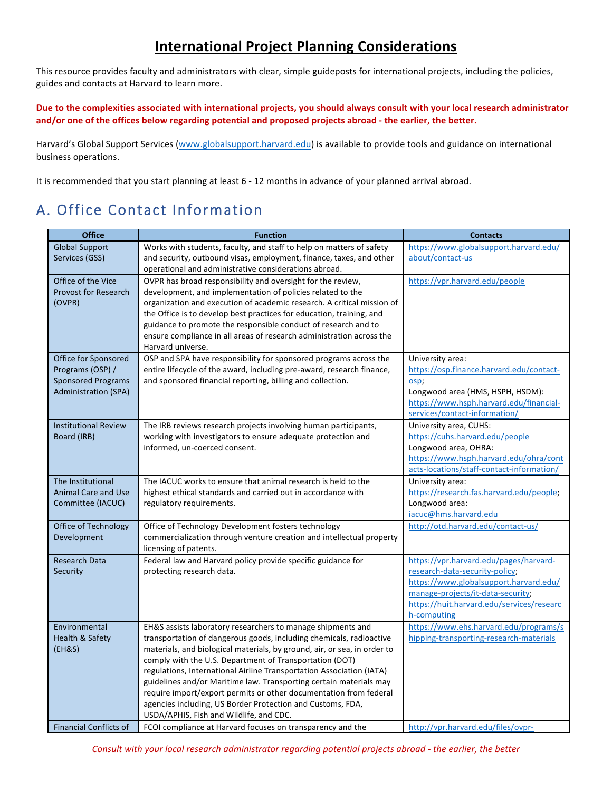# **International Project Planning Considerations**

This resource provides faculty and administrators with clear, simple guideposts for international projects, including the policies, guides and contacts at Harvard to learn more.

Due to the complexities associated with international projects, you should always consult with your local research administrator and/or one of the offices below regarding potential and proposed projects abroad - the earlier, the better.

Harvard's Global Support Services (www.globalsupport.harvard.edu) is available to provide tools and guidance on international business operations.

It is recommended that you start planning at least 6 - 12 months in advance of your planned arrival abroad.

# A. Office Contact Information

| <b>Office</b>                 | <b>Function</b>                                                                                                                            | <b>Contacts</b>                                                          |
|-------------------------------|--------------------------------------------------------------------------------------------------------------------------------------------|--------------------------------------------------------------------------|
| <b>Global Support</b>         | Works with students, faculty, and staff to help on matters of safety                                                                       | https://www.globalsupport.harvard.edu/                                   |
| Services (GSS)                | and security, outbound visas, employment, finance, taxes, and other                                                                        | about/contact-us                                                         |
|                               | operational and administrative considerations abroad.                                                                                      |                                                                          |
| Office of the Vice            | OVPR has broad responsibility and oversight for the review,                                                                                | https://vpr.harvard.edu/people                                           |
| <b>Provost for Research</b>   | development, and implementation of policies related to the                                                                                 |                                                                          |
| (OVPR)                        | organization and execution of academic research. A critical mission of                                                                     |                                                                          |
|                               | the Office is to develop best practices for education, training, and<br>guidance to promote the responsible conduct of research and to     |                                                                          |
|                               | ensure compliance in all areas of research administration across the                                                                       |                                                                          |
|                               | Harvard universe.                                                                                                                          |                                                                          |
| Office for Sponsored          | OSP and SPA have responsibility for sponsored programs across the                                                                          | University area:                                                         |
| Programs (OSP) /              | entire lifecycle of the award, including pre-award, research finance,                                                                      | https://osp.finance.harvard.edu/contact-                                 |
| <b>Sponsored Programs</b>     | and sponsored financial reporting, billing and collection.                                                                                 | osp:                                                                     |
| <b>Administration (SPA)</b>   |                                                                                                                                            | Longwood area (HMS, HSPH, HSDM):                                         |
|                               |                                                                                                                                            | https://www.hsph.harvard.edu/financial-                                  |
|                               |                                                                                                                                            | services/contact-information/                                            |
| <b>Institutional Review</b>   | The IRB reviews research projects involving human participants,                                                                            | University area, CUHS:                                                   |
| Board (IRB)                   | working with investigators to ensure adequate protection and<br>informed, un-coerced consent.                                              | https://cuhs.harvard.edu/people<br>Longwood area, OHRA:                  |
|                               |                                                                                                                                            | https://www.hsph.harvard.edu/ohra/cont                                   |
|                               |                                                                                                                                            | acts-locations/staff-contact-information/                                |
| The Institutional             | The IACUC works to ensure that animal research is held to the                                                                              | University area:                                                         |
| <b>Animal Care and Use</b>    | highest ethical standards and carried out in accordance with                                                                               | https://research.fas.harvard.edu/people;                                 |
| Committee (IACUC)             | regulatory requirements.                                                                                                                   | Longwood area:                                                           |
|                               |                                                                                                                                            | iacuc@hms.harvard.edu                                                    |
| Office of Technology          | Office of Technology Development fosters technology                                                                                        | http://otd.harvard.edu/contact-us/                                       |
| Development                   | commercialization through venture creation and intellectual property                                                                       |                                                                          |
|                               | licensing of patents.<br>Federal law and Harvard policy provide specific guidance for                                                      |                                                                          |
| Research Data<br>Security     | protecting research data.                                                                                                                  | https://vpr.harvard.edu/pages/harvard-<br>research-data-security-policy; |
|                               |                                                                                                                                            | https://www.globalsupport.harvard.edu/                                   |
|                               |                                                                                                                                            | manage-projects/it-data-security;                                        |
|                               |                                                                                                                                            | https://huit.harvard.edu/services/researc                                |
|                               |                                                                                                                                            | h-computing                                                              |
| Environmental                 | EH&S assists laboratory researchers to manage shipments and                                                                                | https://www.ehs.harvard.edu/programs/s                                   |
| Health & Safety               | transportation of dangerous goods, including chemicals, radioactive                                                                        | hipping-transporting-research-materials                                  |
| (EH&S)                        | materials, and biological materials, by ground, air, or sea, in order to                                                                   |                                                                          |
|                               | comply with the U.S. Department of Transportation (DOT)                                                                                    |                                                                          |
|                               | regulations, International Airline Transportation Association (IATA)<br>guidelines and/or Maritime law. Transporting certain materials may |                                                                          |
|                               | require import/export permits or other documentation from federal                                                                          |                                                                          |
|                               | agencies including, US Border Protection and Customs, FDA,                                                                                 |                                                                          |
|                               | USDA/APHIS, Fish and Wildlife, and CDC.                                                                                                    |                                                                          |
| <b>Financial Conflicts of</b> | FCOI compliance at Harvard focuses on transparency and the                                                                                 | http://vpr.harvard.edu/files/ovpr-                                       |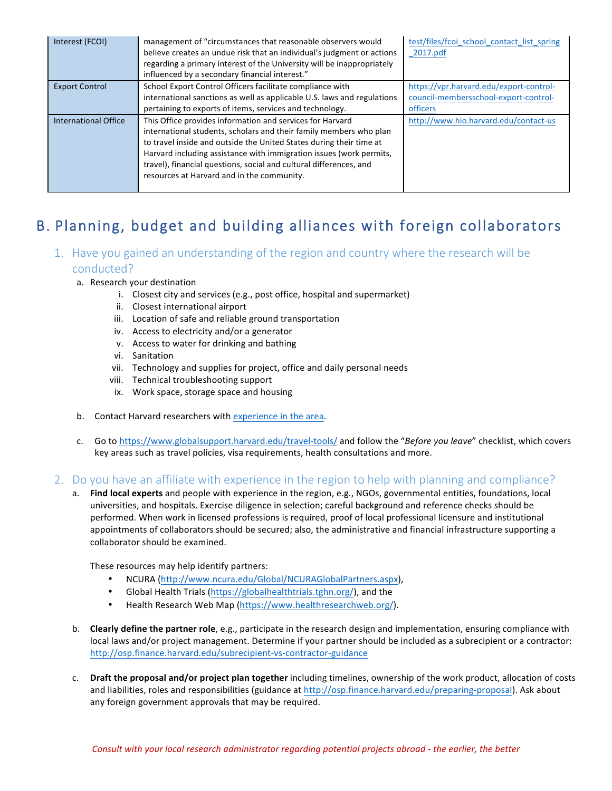| Interest (FCOI)             | management of "circumstances that reasonable observers would<br>believe creates an undue risk that an individual's judgment or actions<br>regarding a primary interest of the University will be inappropriately<br>influenced by a secondary financial interest."                                                                                                                                | test/files/fcoi school contact list spring<br>2017.pdf                                       |
|-----------------------------|---------------------------------------------------------------------------------------------------------------------------------------------------------------------------------------------------------------------------------------------------------------------------------------------------------------------------------------------------------------------------------------------------|----------------------------------------------------------------------------------------------|
| <b>Export Control</b>       | School Export Control Officers facilitate compliance with<br>international sanctions as well as applicable U.S. laws and regulations<br>pertaining to exports of items, services and technology.                                                                                                                                                                                                  | https://vpr.harvard.edu/export-control-<br>council-membersschool-export-control-<br>officers |
| <b>International Office</b> | This Office provides information and services for Harvard<br>international students, scholars and their family members who plan<br>to travel inside and outside the United States during their time at<br>Harvard including assistance with immigration issues (work permits,<br>travel), financial questions, social and cultural differences, and<br>resources at Harvard and in the community. | http://www.hio.harvard.edu/contact-us                                                        |

# B. Planning, budget and building alliances with foreign collaborators

## 1. Have you gained an understanding of the region and country where the research will be conducted?

- a. Research vour destination
	- i. Closest city and services (e.g., post office, hospital and supermarket)
	- ii. Closest international airport
	- iii. Location of safe and reliable ground transportation
	- iv. Access to electricity and/or a generator
	- v. Access to water for drinking and bathing
	- vi. Sanitation
	- vii. Technology and supplies for project, office and daily personal needs
	- viii. Technical troubleshooting support
	- ix. Work space, storage space and housing
- b. Contact Harvard researchers with experience in the area.
- c. Go to https://www.globalsupport.harvard.edu/travel-tools/ and follow the "Before you leave" checklist, which covers key areas such as travel policies, visa requirements, health consultations and more.

### 2. Do you have an affiliate with experience in the region to help with planning and compliance?

a. Find local experts and people with experience in the region, e.g., NGOs, governmental entities, foundations, local universities, and hospitals. Exercise diligence in selection; careful background and reference checks should be performed. When work in licensed professions is required, proof of local professional licensure and institutional appointments of collaborators should be secured; also, the administrative and financial infrastructure supporting a collaborator should be examined.

These resources may help identify partners:

- NCURA (http://www.ncura.edu/Global/NCURAGlobalPartners.aspx),
- Global Health Trials (https://globalhealthtrials.tghn.org/), and the
- Health Research Web Map (https://www.healthresearchweb.org/).
- b. **Clearly define the partner role**, e.g., participate in the research design and implementation, ensuring compliance with local laws and/or project management. Determine if your partner should be included as a subrecipient or a contractor: http://osp.finance.harvard.edu/subrecipient-vs-contractor-guidance
- c. Draft the proposal and/or project plan together including timelines, ownership of the work product, allocation of costs and liabilities, roles and responsibilities (guidance at http://osp.finance.harvard.edu/preparing-proposal). Ask about any foreign government approvals that may be required.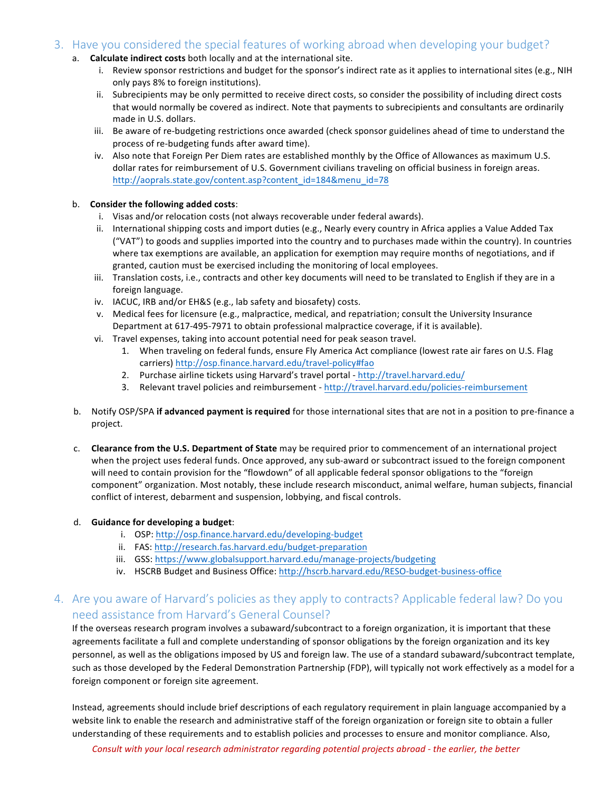## 3. Have you considered the special features of working abroad when developing your budget?

- a. **Calculate indirect costs** both locally and at the international site.
	- i. Review sponsor restrictions and budget for the sponsor's indirect rate as it applies to international sites (e.g., NIH only pays 8% to foreign institutions).
	- ii. Subrecipients may be only permitted to receive direct costs, so consider the possibility of including direct costs that would normally be covered as indirect. Note that payments to subrecipients and consultants are ordinarily made in U.S. dollars.
	- iii. Be aware of re-budgeting restrictions once awarded (check sponsor guidelines ahead of time to understand the process of re-budgeting funds after award time).
	- iv. Also note that Foreign Per Diem rates are established monthly by the Office of Allowances as maximum U.S. dollar rates for reimbursement of U.S. Government civilians traveling on official business in foreign areas. http://aoprals.state.gov/content.asp?content\_id=184&menu\_id=78

#### b. **Consider the following added costs:**

- i. Visas and/or relocation costs (not always recoverable under federal awards).
- ii. International shipping costs and import duties (e.g., Nearly every country in Africa applies a Value Added Tax ("VAT") to goods and supplies imported into the country and to purchases made within the country). In countries where tax exemptions are available, an application for exemption may require months of negotiations, and if granted, caution must be exercised including the monitoring of local employees.
- iii. Translation costs, i.e., contracts and other key documents will need to be translated to English if they are in a foreign language.
- iv. IACUC, IRB and/or EH&S (e.g., lab safety and biosafety) costs.
- v. Medical fees for licensure (e.g., malpractice, medical, and repatriation; consult the University Insurance Department at 617-495-7971 to obtain professional malpractice coverage, if it is available).
- vi. Travel expenses, taking into account potential need for peak season travel.
	- 1. When traveling on federal funds, ensure Fly America Act compliance (lowest rate air fares on U.S. Flag carriers) http://osp.finance.harvard.edu/travel-policy#fao
	- 2. Purchase airline tickets using Harvard's travel portal http://travel.harvard.edu/
	- 3. Relevant travel policies and reimbursement http://travel.harvard.edu/policies-reimbursement
- b. Notify OSP/SPA if advanced payment is required for those international sites that are not in a position to pre-finance a project.
- c. **Clearance from the U.S. Department of State** may be required prior to commencement of an international project when the project uses federal funds. Once approved, any sub-award or subcontract issued to the foreign component will need to contain provision for the "flowdown" of all applicable federal sponsor obligations to the "foreign component" organization. Most notably, these include research misconduct, animal welfare, human subjects, financial conflict of interest, debarment and suspension, lobbying, and fiscal controls.

#### d. Guidance for developing a budget:

- i. OSP: http://osp.finance.harvard.edu/developing-budget
- ii. FAS: http://research.fas.harvard.edu/budget-preparation
- iii. GSS: https://www.globalsupport.harvard.edu/manage-projects/budgeting
- iv. HSCRB Budget and Business Office: http://hscrb.harvard.edu/RESO-budget-business-office

## 4. Are you aware of Harvard's policies as they apply to contracts? Applicable federal law? Do you need assistance from Harvard's General Counsel?

If the overseas research program involves a subaward/subcontract to a foreign organization, it is important that these agreements facilitate a full and complete understanding of sponsor obligations by the foreign organization and its key personnel, as well as the obligations imposed by US and foreign law. The use of a standard subaward/subcontract template, such as those developed by the Federal Demonstration Partnership (FDP), will typically not work effectively as a model for a foreign component or foreign site agreement.

Instead, agreements should include brief descriptions of each regulatory requirement in plain language accompanied by a website link to enable the research and administrative staff of the foreign organization or foreign site to obtain a fuller understanding of these requirements and to establish policies and processes to ensure and monitor compliance. Also,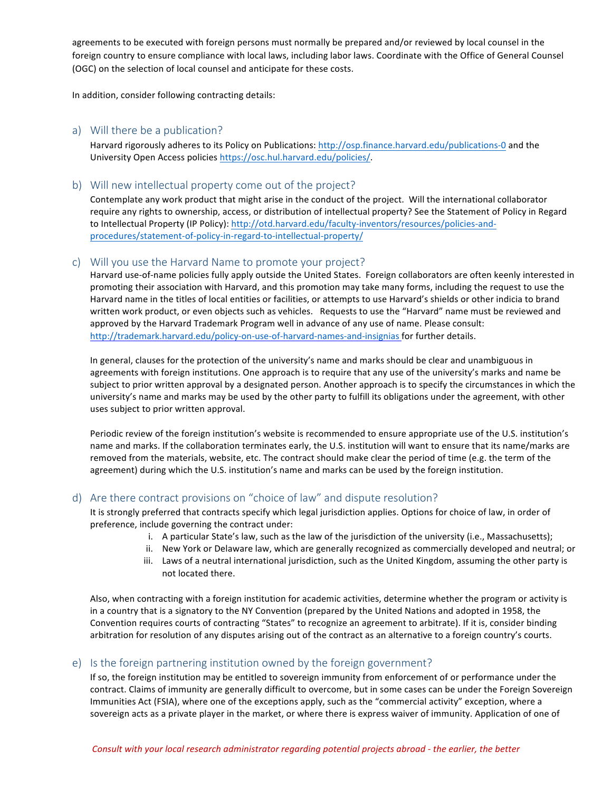agreements to be executed with foreign persons must normally be prepared and/or reviewed by local counsel in the foreign country to ensure compliance with local laws, including labor laws. Coordinate with the Office of General Counsel (OGC) on the selection of local counsel and anticipate for these costs.

In addition, consider following contracting details:

#### a) Will there be a publication?

Harvard rigorously adheres to its Policy on Publications: http://osp.finance.harvard.edu/publications-0 and the University Open Access policies https://osc.hul.harvard.edu/policies/.

#### b) Will new intellectual property come out of the project?

Contemplate any work product that might arise in the conduct of the project. Will the international collaborator require any rights to ownership, access, or distribution of intellectual property? See the Statement of Policy in Regard to Intellectual Property (IP Policy): http://otd.harvard.edu/faculty-inventors/resources/policies-andprocedures/statement-of-policy-in-regard-to-intellectual-property/

#### c) Will you use the Harvard Name to promote your project?

Harvard use-of-name policies fully apply outside the United States. Foreign collaborators are often keenly interested in promoting their association with Harvard, and this promotion may take many forms, including the request to use the Harvard name in the titles of local entities or facilities, or attempts to use Harvard's shields or other indicia to brand written work product, or even objects such as vehicles. Requests to use the "Harvard" name must be reviewed and approved by the Harvard Trademark Program well in advance of any use of name. Please consult: http://trademark.harvard.edu/policy-on-use-of-harvard-names-and-insignias for further details.

In general, clauses for the protection of the university's name and marks should be clear and unambiguous in agreements with foreign institutions. One approach is to require that any use of the university's marks and name be subject to prior written approval by a designated person. Another approach is to specify the circumstances in which the university's name and marks may be used by the other party to fulfill its obligations under the agreement, with other uses subject to prior written approval.

Periodic review of the foreign institution's website is recommended to ensure appropriate use of the U.S. institution's name and marks. If the collaboration terminates early, the U.S. institution will want to ensure that its name/marks are removed from the materials, website, etc. The contract should make clear the period of time (e.g. the term of the agreement) during which the U.S. institution's name and marks can be used by the foreign institution.

### d) Are there contract provisions on "choice of law" and dispute resolution?

It is strongly preferred that contracts specify which legal jurisdiction applies. Options for choice of law, in order of preference, include governing the contract under:

- i. A particular State's law, such as the law of the jurisdiction of the university (i.e., Massachusetts);
- ii. New York or Delaware law, which are generally recognized as commercially developed and neutral; or
- iii. Laws of a neutral international jurisdiction, such as the United Kingdom, assuming the other party is not located there.

Also, when contracting with a foreign institution for academic activities, determine whether the program or activity is in a country that is a signatory to the NY Convention (prepared by the United Nations and adopted in 1958, the Convention requires courts of contracting "States" to recognize an agreement to arbitrate). If it is, consider binding arbitration for resolution of any disputes arising out of the contract as an alternative to a foreign country's courts.

### e) Is the foreign partnering institution owned by the foreign government?

If so, the foreign institution may be entitled to sovereign immunity from enforcement of or performance under the contract. Claims of immunity are generally difficult to overcome, but in some cases can be under the Foreign Sovereign Immunities Act (FSIA), where one of the exceptions apply, such as the "commercial activity" exception, where a sovereign acts as a private player in the market, or where there is express waiver of immunity. Application of one of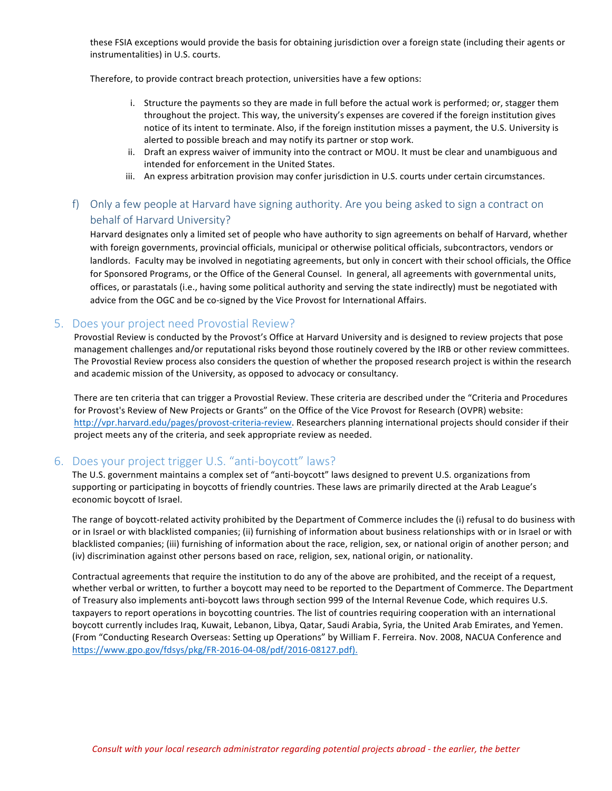these FSIA exceptions would provide the basis for obtaining jurisdiction over a foreign state (including their agents or instrumentalities) in U.S. courts.

Therefore, to provide contract breach protection, universities have a few options:

- i. Structure the payments so they are made in full before the actual work is performed; or, stagger them throughout the project. This way, the university's expenses are covered if the foreign institution gives notice of its intent to terminate. Also, if the foreign institution misses a payment, the U.S. University is alerted to possible breach and may notify its partner or stop work.
- ii. Draft an express waiver of immunity into the contract or MOU. It must be clear and unambiguous and intended for enforcement in the United States.
- iii. An express arbitration provision may confer jurisdiction in U.S. courts under certain circumstances.

## f) Only a few people at Harvard have signing authority. Are you being asked to sign a contract on behalf of Harvard University?

Harvard designates only a limited set of people who have authority to sign agreements on behalf of Harvard, whether with foreign governments, provincial officials, municipal or otherwise political officials, subcontractors, vendors or landlords. Faculty may be involved in negotiating agreements, but only in concert with their school officials, the Office for Sponsored Programs, or the Office of the General Counsel. In general, all agreements with governmental units, offices, or parastatals (i.e., having some political authority and serving the state indirectly) must be negotiated with advice from the OGC and be co-signed by the Vice Provost for International Affairs.

### 5. Does your project need Provostial Review?

Provostial Review is conducted by the Provost's Office at Harvard University and is designed to review projects that pose management challenges and/or reputational risks beyond those routinely covered by the IRB or other review committees. The Provostial Review process also considers the question of whether the proposed research project is within the research and academic mission of the University, as opposed to advocacy or consultancy.

There are ten criteria that can trigger a Provostial Review. These criteria are described under the "Criteria and Procedures for Provost's Review of New Projects or Grants" on the Office of the Vice Provost for Research (OVPR) website: http://vpr.harvard.edu/pages/provost-criteria-review. Researchers planning international projects should consider if their project meets any of the criteria, and seek appropriate review as needed.

## 6. Does your project trigger U.S. "anti-boycott" laws?

The U.S. government maintains a complex set of "anti-boycott" laws designed to prevent U.S. organizations from supporting or participating in boycotts of friendly countries. These laws are primarily directed at the Arab League's economic boycott of Israel.

The range of boycott-related activity prohibited by the Department of Commerce includes the (i) refusal to do business with or in Israel or with blacklisted companies; (ii) furnishing of information about business relationships with or in Israel or with blacklisted companies; (iii) furnishing of information about the race, religion, sex, or national origin of another person; and (iv) discrimination against other persons based on race, religion, sex, national origin, or nationality.

Contractual agreements that require the institution to do any of the above are prohibited, and the receipt of a request, whether verbal or written, to further a boycott may need to be reported to the Department of Commerce. The Department of Treasury also implements anti-boycott laws through section 999 of the Internal Revenue Code, which requires U.S. taxpayers to report operations in boycotting countries. The list of countries requiring cooperation with an international boycott currently includes Iraq, Kuwait, Lebanon, Libya, Qatar, Saudi Arabia, Syria, the United Arab Emirates, and Yemen. (From "Conducting Research Overseas: Setting up Operations" by William F. Ferreira. Nov. 2008, NACUA Conference and https://www.gpo.gov/fdsys/pkg/FR-2016-04-08/pdf/2016-08127.pdf).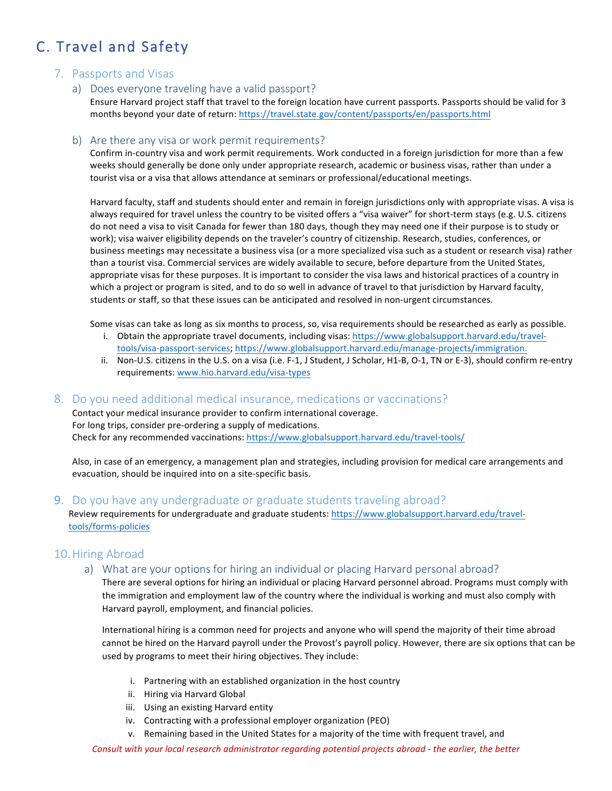# C. Travel and Safety

## 7. Passports and Visas

a) Does everyone traveling have a valid passport?

Ensure Harvard project staff that travel to the foreign location have current passports. Passports should be valid for 3 months beyond your date of return: https://travel.state.gov/content/passports/en/passports.html

### b) Are there any visa or work permit requirements?

Confirm in-country visa and work permit requirements. Work conducted in a foreign jurisdiction for more than a few weeks should generally be done only under appropriate research, academic or business visas, rather than under a tourist visa or a visa that allows attendance at seminars or professional/educational meetings.

Harvard faculty, staff and students should enter and remain in foreign jurisdictions only with appropriate visas. A visa is always required for travel unless the country to be visited offers a "visa waiver" for short-term stays (e.g. U.S. citizens do not need a visa to visit Canada for fewer than 180 days, though they may need one if their purpose is to study or work); visa waiver eligibility depends on the traveler's country of citizenship. Research, studies, conferences, or business meetings may necessitate a business visa (or a more specialized visa such as a student or research visa) rather than a tourist visa. Commercial services are widely available to secure, before departure from the United States, appropriate visas for these purposes. It is important to consider the visa laws and historical practices of a country in which a project or program is sited, and to do so well in advance of travel to that jurisdiction by Harvard faculty, students or staff, so that these issues can be anticipated and resolved in non-urgent circumstances.

Some visas can take as long as six months to process, so, visa requirements should be researched as early as possible.

- i. Obtain the appropriate travel documents, including visas: https://www.globalsupport.harvard.edu/traveltools/visa-passport-services; https://www.globalsupport.harvard.edu/manage-projects/immigration.
- ii. Non-U.S. citizens in the U.S. on a visa (i.e. F-1, J Student, J Scholar, H1-B, O-1, TN or E-3), should confirm re-entry requirements: www.hio.harvard.edu/visa-types

## 8. Do you need additional medical insurance, medications or vaccinations?

Contact your medical insurance provider to confirm international coverage. For long trips, consider pre-ordering a supply of medications. Check for any recommended vaccinations: https://www.globalsupport.harvard.edu/travel-tools/

Also, in case of an emergency, a management plan and strategies, including provision for medical care arrangements and evacuation, should be inquired into on a site-specific basis.

### 9. Do you have any undergraduate or graduate students traveling abroad?

Review requirements for undergraduate and graduate students: https://www.globalsupport.harvard.edu/traveltools/forms-policies

## 10.Hiring Abroad

a) What are your options for hiring an individual or placing Harvard personal abroad?

There are several options for hiring an individual or placing Harvard personnel abroad. Programs must comply with the immigration and employment law of the country where the individual is working and must also comply with Harvard payroll, employment, and financial policies.

International hiring is a common need for projects and anyone who will spend the majority of their time abroad cannot be hired on the Harvard payroll under the Provost's payroll policy. However, there are six options that can be used by programs to meet their hiring objectives. They include:

- i. Partnering with an established organization in the host country
- ii. Hiring via Harvard Global
- iii. Using an existing Harvard entity
- iv. Contracting with a professional employer organization (PEO)
- v. Remaining based in the United States for a majority of the time with frequent travel, and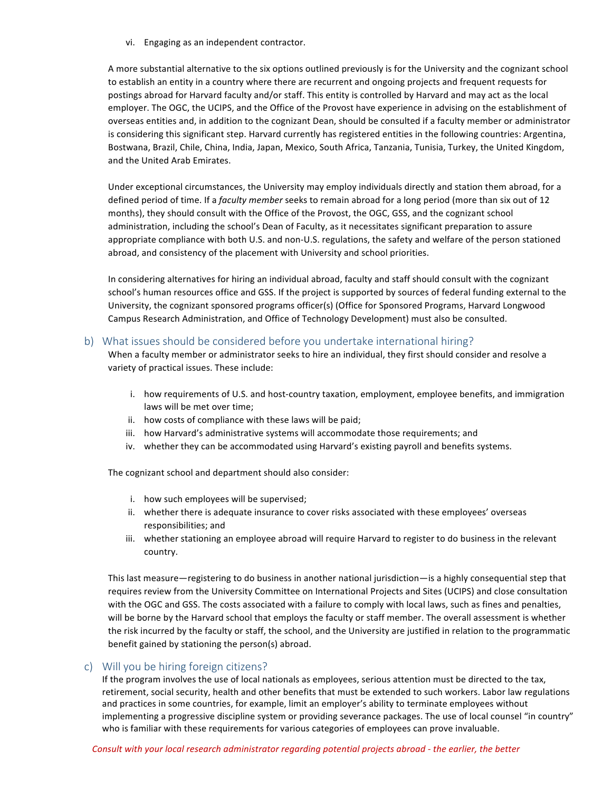vi. Engaging as an independent contractor.

A more substantial alternative to the six options outlined previously is for the University and the cognizant school to establish an entity in a country where there are recurrent and ongoing projects and frequent requests for postings abroad for Harvard faculty and/or staff. This entity is controlled by Harvard and may act as the local employer. The OGC, the UCIPS, and the Office of the Provost have experience in advising on the establishment of overseas entities and, in addition to the cognizant Dean, should be consulted if a faculty member or administrator is considering this significant step. Harvard currently has registered entities in the following countries: Argentina, Bostwana, Brazil, Chile, China, India, Japan, Mexico, South Africa, Tanzania, Tunisia, Turkey, the United Kingdom, and the United Arab Emirates.

Under exceptional circumstances, the University may employ individuals directly and station them abroad, for a defined period of time. If a *faculty member* seeks to remain abroad for a long period (more than six out of 12 months), they should consult with the Office of the Provost, the OGC, GSS, and the cognizant school administration, including the school's Dean of Faculty, as it necessitates significant preparation to assure appropriate compliance with both U.S. and non-U.S. regulations, the safety and welfare of the person stationed abroad, and consistency of the placement with University and school priorities.

In considering alternatives for hiring an individual abroad, faculty and staff should consult with the cognizant school's human resources office and GSS. If the project is supported by sources of federal funding external to the University, the cognizant sponsored programs officer(s) (Office for Sponsored Programs, Harvard Longwood Campus Research Administration, and Office of Technology Development) must also be consulted.

### b) What issues should be considered before you undertake international hiring?

When a faculty member or administrator seeks to hire an individual, they first should consider and resolve a variety of practical issues. These include:

- i. how requirements of U.S. and host-country taxation, employment, employee benefits, and immigration laws will be met over time;
- ii. how costs of compliance with these laws will be paid;
- iii. how Harvard's administrative systems will accommodate those requirements; and
- iv. whether they can be accommodated using Harvard's existing payroll and benefits systems.

The cognizant school and department should also consider:

- i. how such employees will be supervised;
- ii. whether there is adequate insurance to cover risks associated with these employees' overseas responsibilities; and
- iii. whether stationing an employee abroad will require Harvard to register to do business in the relevant country.

This last measure—registering to do business in another national jurisdiction—is a highly consequential step that requires review from the University Committee on International Projects and Sites (UCIPS) and close consultation with the OGC and GSS. The costs associated with a failure to comply with local laws, such as fines and penalties, will be borne by the Harvard school that employs the faculty or staff member. The overall assessment is whether the risk incurred by the faculty or staff, the school, and the University are justified in relation to the programmatic benefit gained by stationing the person(s) abroad.

## c) Will you be hiring foreign citizens?

If the program involves the use of local nationals as employees, serious attention must be directed to the tax, retirement, social security, health and other benefits that must be extended to such workers. Labor law regulations and practices in some countries, for example, limit an employer's ability to terminate employees without implementing a progressive discipline system or providing severance packages. The use of local counsel "in country" who is familiar with these requirements for various categories of employees can prove invaluable.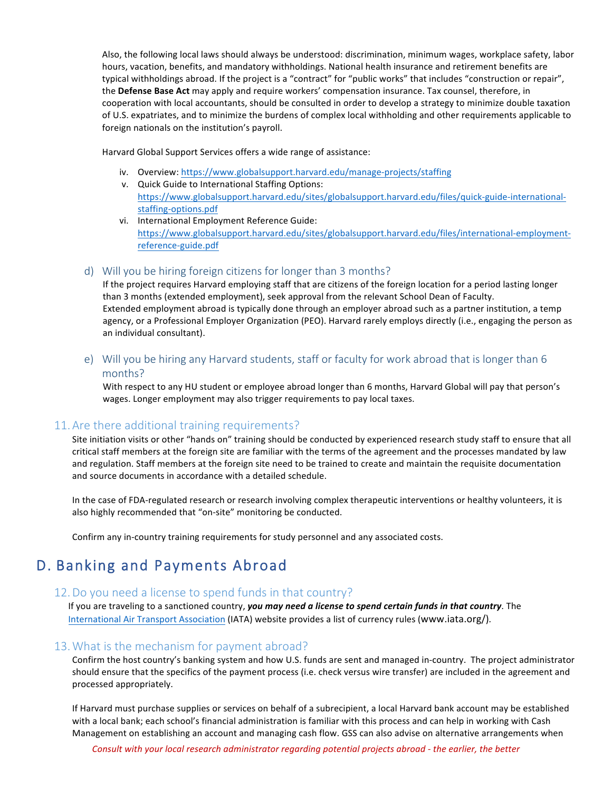Also, the following local laws should always be understood: discrimination, minimum wages, workplace safety, labor hours, vacation, benefits, and mandatory withholdings. National health insurance and retirement benefits are typical withholdings abroad. If the project is a "contract" for "public works" that includes "construction or repair", the **Defense Base Act** may apply and require workers' compensation insurance. Tax counsel, therefore, in cooperation with local accountants, should be consulted in order to develop a strategy to minimize double taxation of U.S. expatriates, and to minimize the burdens of complex local withholding and other requirements applicable to foreign nationals on the institution's payroll.

Harvard Global Support Services offers a wide range of assistance:

- iv. Overview: https://www.globalsupport.harvard.edu/manage-projects/staffing
- v. Quick Guide to International Staffing Options: https://www.globalsupport.harvard.edu/sites/globalsupport.harvard.edu/files/quick-guide-internationalstaffing-options.pdf
- vi. International Employment Reference Guide: https://www.globalsupport.harvard.edu/sites/globalsupport.harvard.edu/files/international-employmentreference-guide.pdf

### d) Will you be hiring foreign citizens for longer than 3 months?

If the project requires Harvard employing staff that are citizens of the foreign location for a period lasting longer than 3 months (extended employment), seek approval from the relevant School Dean of Faculty. Extended employment abroad is typically done through an employer abroad such as a partner institution, a temp agency, or a Professional Employer Organization (PEO). Harvard rarely employs directly (i.e., engaging the person as an individual consultant).

## e) Will you be hiring any Harvard students, staff or faculty for work abroad that is longer than 6 months?

With respect to any HU student or employee abroad longer than 6 months, Harvard Global will pay that person's wages. Longer employment may also trigger requirements to pay local taxes.

## 11.Are there additional training requirements?

Site initiation visits or other "hands on" training should be conducted by experienced research study staff to ensure that all critical staff members at the foreign site are familiar with the terms of the agreement and the processes mandated by law and regulation. Staff members at the foreign site need to be trained to create and maintain the requisite documentation and source documents in accordance with a detailed schedule.

In the case of FDA-regulated research or research involving complex therapeutic interventions or healthy volunteers, it is also highly recommended that "on-site" monitoring be conducted.

Confirm any in-country training requirements for study personnel and any associated costs.

# D. Banking and Payments Abroad

## 12.Do you need a license to spend funds in that country?

If you are traveling to a sanctioned country, you may need a license to spend certain funds in that country. The International Air Transport Association (IATA) website provides a list of currency rules (www.iata.org/).

### 13.What is the mechanism for payment abroad?

Confirm the host country's banking system and how U.S. funds are sent and managed in-country. The project administrator should ensure that the specifics of the payment process (i.e. check versus wire transfer) are included in the agreement and processed appropriately.

If Harvard must purchase supplies or services on behalf of a subrecipient, a local Harvard bank account may be established with a local bank; each school's financial administration is familiar with this process and can help in working with Cash Management on establishing an account and managing cash flow. GSS can also advise on alternative arrangements when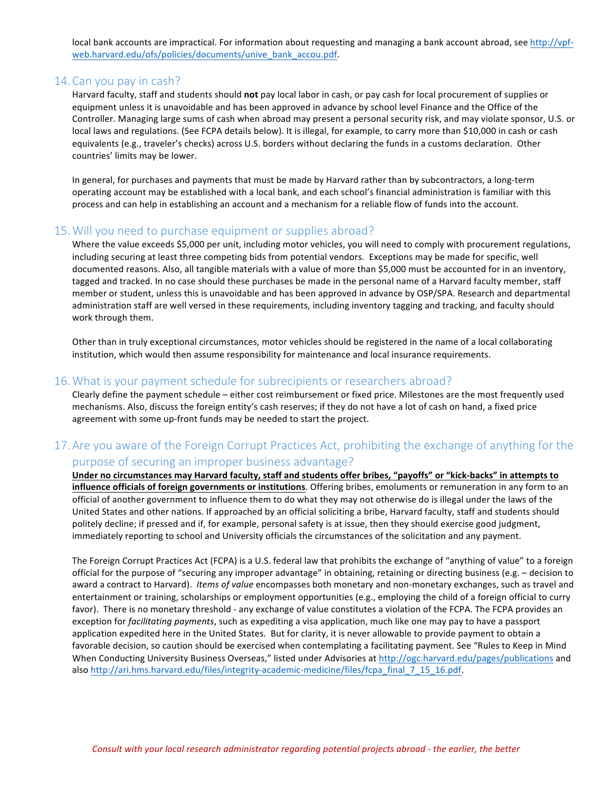local bank accounts are impractical. For information about requesting and managing a bank account abroad, see http://vpfweb.harvard.edu/ofs/policies/documents/unive\_bank\_accou.pdf. 

### 14.Can you pay in cash?

Harvard faculty, staff and students should **not** pay local labor in cash, or pay cash for local procurement of supplies or equipment unless it is unavoidable and has been approved in advance by school level Finance and the Office of the Controller. Managing large sums of cash when abroad may present a personal security risk, and may violate sponsor, U.S. or local laws and regulations. (See FCPA details below). It is illegal, for example, to carry more than \$10,000 in cash or cash equivalents (e.g., traveler's checks) across U.S. borders without declaring the funds in a customs declaration. Other countries' limits may be lower.

In general, for purchases and payments that must be made by Harvard rather than by subcontractors, a long-term operating account may be established with a local bank, and each school's financial administration is familiar with this process and can help in establishing an account and a mechanism for a reliable flow of funds into the account.

### 15.Will you need to purchase equipment or supplies abroad?

Where the value exceeds \$5,000 per unit, including motor vehicles, you will need to comply with procurement regulations, including securing at least three competing bids from potential vendors. Exceptions may be made for specific, well documented reasons. Also, all tangible materials with a value of more than \$5,000 must be accounted for in an inventory, tagged and tracked. In no case should these purchases be made in the personal name of a Harvard faculty member, staff member or student, unless this is unavoidable and has been approved in advance by OSP/SPA. Research and departmental administration staff are well versed in these requirements, including inventory tagging and tracking, and faculty should work through them.

Other than in truly exceptional circumstances, motor vehicles should be registered in the name of a local collaborating institution, which would then assume responsibility for maintenance and local insurance requirements.

### 16.What is your payment schedule for subrecipients or researchers abroad?

Clearly define the payment schedule – either cost reimbursement or fixed price. Milestones are the most frequently used mechanisms. Also, discuss the foreign entity's cash reserves; if they do not have a lot of cash on hand, a fixed price agreement with some up-front funds may be needed to start the project.

## 17.Are you aware of the Foreign Corrupt Practices Act, prohibiting the exchange of anything for the purpose of securing an improper business advantage?

**Under no circumstances may Harvard faculty, staff and students offer bribes, "payoffs" or "kick-backs" in attempts to influence officials of foreign governments or institutions**. Offering bribes, emoluments or remuneration in any form to an official of another government to influence them to do what they may not otherwise do is illegal under the laws of the United States and other nations. If approached by an official soliciting a bribe, Harvard faculty, staff and students should politely decline; if pressed and if, for example, personal safety is at issue, then they should exercise good judgment, immediately reporting to school and University officials the circumstances of the solicitation and any payment.

The Foreign Corrupt Practices Act (FCPA) is a U.S. federal law that prohibits the exchange of "anything of value" to a foreign official for the purpose of "securing any improper advantage" in obtaining, retaining or directing business (e.g. – decision to award a contract to Harvard). *Items of value* encompasses both monetary and non-monetary exchanges, such as travel and entertainment or training, scholarships or employment opportunities (e.g., employing the child of a foreign official to curry favor). There is no monetary threshold - any exchange of value constitutes a violation of the FCPA. The FCPA provides an exception for *facilitating payments*, such as expediting a visa application, much like one may pay to have a passport application expedited here in the United States. But for clarity, it is never allowable to provide payment to obtain a favorable decision, so caution should be exercised when contemplating a facilitating payment. See "Rules to Keep in Mind When Conducting University Business Overseas," listed under Advisories at http://ogc.harvard.edu/pages/publications and also http://ari.hms.harvard.edu/files/integrity-academic-medicine/files/fcpa\_final\_7\_15\_16.pdf.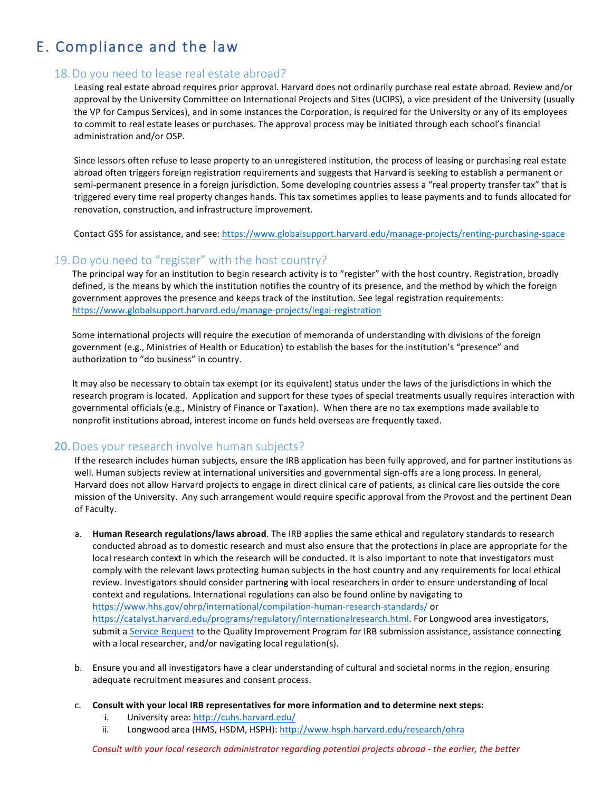# E. Compliance and the law

## 18.Do you need to lease real estate abroad?

Leasing real estate abroad requires prior approval. Harvard does not ordinarily purchase real estate abroad. Review and/or approval by the University Committee on International Projects and Sites (UCIPS), a vice president of the University (usually the VP for Campus Services), and in some instances the Corporation, is required for the University or any of its employees to commit to real estate leases or purchases. The approval process may be initiated through each school's financial administration and/or OSP.

Since lessors often refuse to lease property to an unregistered institution, the process of leasing or purchasing real estate abroad often triggers foreign registration requirements and suggests that Harvard is seeking to establish a permanent or semi-permanent presence in a foreign jurisdiction. Some developing countries assess a "real property transfer tax" that is triggered every time real property changes hands. This tax sometimes applies to lease payments and to funds allocated for renovation, construction, and infrastructure improvement.

Contact GSS for assistance, and see: https://www.globalsupport.harvard.edu/manage-projects/renting-purchasing-space

### 19.Do you need to "register" with the host country?

The principal way for an institution to begin research activity is to "register" with the host country. Registration, broadly defined, is the means by which the institution notifies the country of its presence, and the method by which the foreign government approves the presence and keeps track of the institution. See legal registration requirements: https://www.globalsupport.harvard.edu/manage-projects/legal-registration

Some international projects will require the execution of memoranda of understanding with divisions of the foreign government (e.g., Ministries of Health or Education) to establish the bases for the institution's "presence" and authorization to "do business" in country.

It may also be necessary to obtain tax exempt (or its equivalent) status under the laws of the jurisdictions in which the research program is located. Application and support for these types of special treatments usually requires interaction with governmental officials (e.g., Ministry of Finance or Taxation). When there are no tax exemptions made available to nonprofit institutions abroad, interest income on funds held overseas are frequently taxed.

### 20.Does your research involve human subjects?

If the research includes human subjects, ensure the IRB application has been fully approved, and for partner institutions as well. Human subjects review at international universities and governmental sign-offs are a long process. In general, Harvard does not allow Harvard projects to engage in direct clinical care of patients, as clinical care lies outside the core mission of the University. Any such arrangement would require specific approval from the Provost and the pertinent Dean of Faculty.

- a. **Human Research regulations/laws abroad**. The IRB applies the same ethical and regulatory standards to research conducted abroad as to domestic research and must also ensure that the protections in place are appropriate for the local research context in which the research will be conducted. It is also important to note that investigators must comply with the relevant laws protecting human subjects in the host country and any requirements for local ethical review. Investigators should consider partnering with local researchers in order to ensure understanding of local context and regulations. International regulations can also be found online by navigating to https://www.hhs.gov/ohrp/international/compilation-human-research-standards/ or https://catalyst.harvard.edu/programs/regulatory/internationalresearch.html. For Longwood area investigators, submit a Service Request to the Quality Improvement Program for IRB submission assistance, assistance connecting with a local researcher, and/or navigating local regulation(s).
- b. Ensure you and all investigators have a clear understanding of cultural and societal norms in the region, ensuring adequate recruitment measures and consent process.
- c. Consult with your local IRB representatives for more information and to determine next steps:
	- i. University area: http://cuhs.harvard.edu/
	- ii. Longwood area (HMS, HSDM, HSPH): http://www.hsph.harvard.edu/research/ohra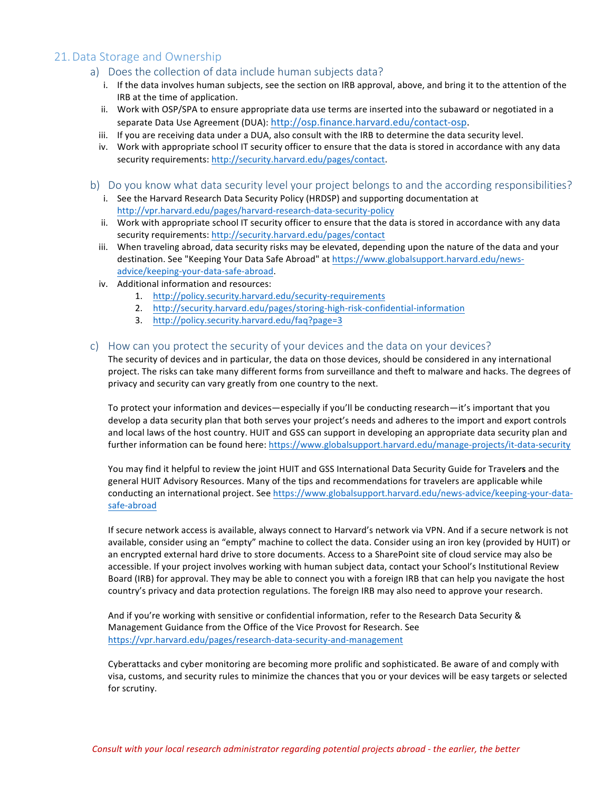## 21.Data Storage and Ownership

- a) Does the collection of data include human subjects data?
	- i. If the data involves human subjects, see the section on IRB approval, above, and bring it to the attention of the IRB at the time of application.
	- ii. Work with OSP/SPA to ensure appropriate data use terms are inserted into the subaward or negotiated in a separate Data Use Agreement (DUA): http://osp.finance.harvard.edu/contact-osp.
	- iii. If you are receiving data under a DUA, also consult with the IRB to determine the data security level.
	- iv. Work with appropriate school IT security officer to ensure that the data is stored in accordance with any data security requirements: http://security.harvard.edu/pages/contact.
- b) Do you know what data security level your project belongs to and the according responsibilities?
	- i. See the Harvard Research Data Security Policy (HRDSP) and supporting documentation at http://vpr.harvard.edu/pages/harvard-research-data-security-policy
	- ii. Work with appropriate school IT security officer to ensure that the data is stored in accordance with any data security requirements: http://security.harvard.edu/pages/contact
	- iii. When traveling abroad, data security risks may be elevated, depending upon the nature of the data and your destination. See "Keeping Your Data Safe Abroad" at https://www.globalsupport.harvard.edu/newsadvice/keeping-your-data-safe-abroad.
	- iv. Additional information and resources:
		- 1. http://policy.security.harvard.edu/security-requirements
		- 2. http://security.harvard.edu/pages/storing-high-risk-confidential-information
		- 3. http://policy.security.harvard.edu/faq?page=3

#### c) How can you protect the security of your devices and the data on your devices?

The security of devices and in particular, the data on those devices, should be considered in any international project. The risks can take many different forms from surveillance and theft to malware and hacks. The degrees of privacy and security can vary greatly from one country to the next.

To protect your information and devices—especially if you'll be conducting research—it's important that you develop a data security plan that both serves your project's needs and adheres to the import and export controls and local laws of the host country. HUIT and GSS can support in developing an appropriate data security plan and further information can be found here: https://www.globalsupport.harvard.edu/manage-projects/it-data-security

You may find it helpful to review the joint HUIT and GSS International Data Security Guide for Travelers and the general HUIT Advisory Resources. Many of the tips and recommendations for travelers are applicable while conducting an international project. See https://www.globalsupport.harvard.edu/news-advice/keeping-your-datasafe-abroad

If secure network access is available, always connect to Harvard's network via VPN. And if a secure network is not available, consider using an "empty" machine to collect the data. Consider using an iron key (provided by HUIT) or an encrypted external hard drive to store documents. Access to a SharePoint site of cloud service may also be accessible. If your project involves working with human subject data, contact your School's Institutional Review Board (IRB) for approval. They may be able to connect you with a foreign IRB that can help you navigate the host country's privacy and data protection regulations. The foreign IRB may also need to approve your research.

And if you're working with sensitive or confidential information, refer to the Research Data Security & Management Guidance from the Office of the Vice Provost for Research. See https://vpr.harvard.edu/pages/research-data-security-and-management

Cyberattacks and cyber monitoring are becoming more prolific and sophisticated. Be aware of and comply with visa, customs, and security rules to minimize the chances that you or your devices will be easy targets or selected for scrutiny.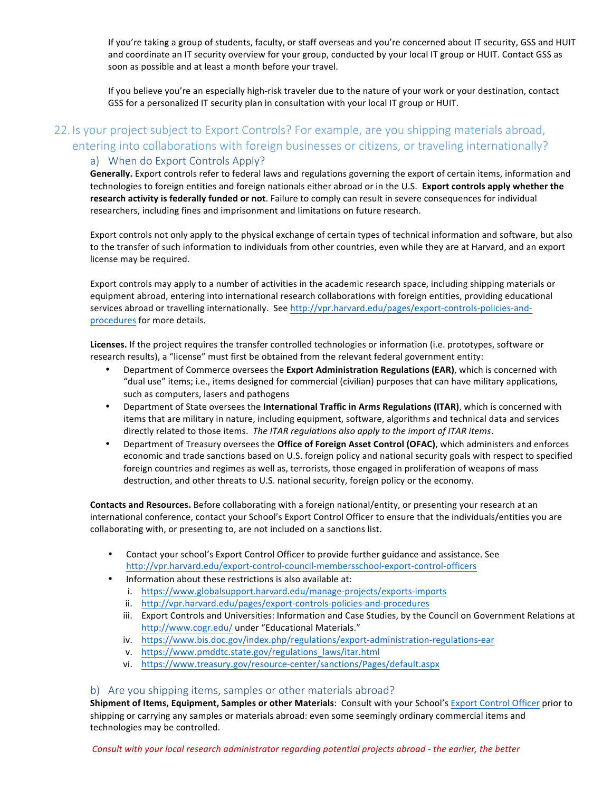If you're taking a group of students, faculty, or staff overseas and you're concerned about IT security, GSS and HUIT and coordinate an IT security overview for your group, conducted by your local IT group or HUIT. Contact GSS as soon as possible and at least a month before your travel.

If you believe you're an especially high-risk traveler due to the nature of your work or your destination, contact GSS for a personalized IT security plan in consultation with your local IT group or HUIT.

## 22. Is your project subject to Export Controls? For example, are you shipping materials abroad, entering into collaborations with foreign businesses or citizens, or traveling internationally? a) When do Export Controls Apply?

Generally. Export controls refer to federal laws and regulations governing the export of certain items, information and technologies to foreign entities and foreign nationals either abroad or in the U.S. Export controls apply whether the research activity is federally funded or not. Failure to comply can result in severe consequences for individual researchers, including fines and imprisonment and limitations on future research.

Export controls not only apply to the physical exchange of certain types of technical information and software, but also to the transfer of such information to individuals from other countries, even while they are at Harvard, and an export license may be required.

Export controls may apply to a number of activities in the academic research space, including shipping materials or equipment abroad, entering into international research collaborations with foreign entities, providing educational services abroad or travelling internationally. See http://vpr.harvard.edu/pages/export-controls-policies-andprocedures for more details.

Licenses. If the project requires the transfer controlled technologies or information (i.e. prototypes, software or research results), a "license" must first be obtained from the relevant federal government entity:

- Department of Commerce oversees the **Export Administration Regulations (EAR)**, which is concerned with "dual use" items; i.e., items designed for commercial (civilian) purposes that can have military applications, such as computers, lasers and pathogens
- Department of State oversees the International Traffic in Arms Regulations (ITAR), which is concerned with items that are military in nature, including equipment, software, algorithms and technical data and services directly related to those items. The ITAR regulations also apply to the import of ITAR items.
- Department of Treasury oversees the Office of Foreign Asset Control (OFAC), which administers and enforces economic and trade sanctions based on U.S. foreign policy and national security goals with respect to specified foreign countries and regimes as well as, terrorists, those engaged in proliferation of weapons of mass destruction, and other threats to U.S. national security, foreign policy or the economy.

**Contacts and Resources.** Before collaborating with a foreign national/entity, or presenting your research at an international conference, contact your School's Export Control Officer to ensure that the individuals/entities you are collaborating with, or presenting to, are not included on a sanctions list.

- Contact your school's Export Control Officer to provide further guidance and assistance. See http://vpr.harvard.edu/export-control-council-membersschool-export-control-officers
- Information about these restrictions is also available at:
	- i. https://www.globalsupport.harvard.edu/manage-projects/exports-imports
	- ii. http://vpr.harvard.edu/pages/export-controls-policies-and-procedures
	- iii. Export Controls and Universities: Information and Case Studies, by the Council on Government Relations at http://www.cogr.edu/ under "Educational Materials."
	- iv. https://www.bis.doc.gov/index.php/regulations/export-administration-regulations-ear
	- v. https://www.pmddtc.state.gov/regulations\_laws/itar.html
	- vi. https://www.treasury.gov/resource-center/sanctions/Pages/default.aspx

#### b) Are you shipping items, samples or other materials abroad?

**Shipment of Items, Equipment, Samples or other Materials: Consult with your School's Export Control Officer prior to** shipping or carrying any samples or materials abroad: even some seemingly ordinary commercial items and technologies may be controlled.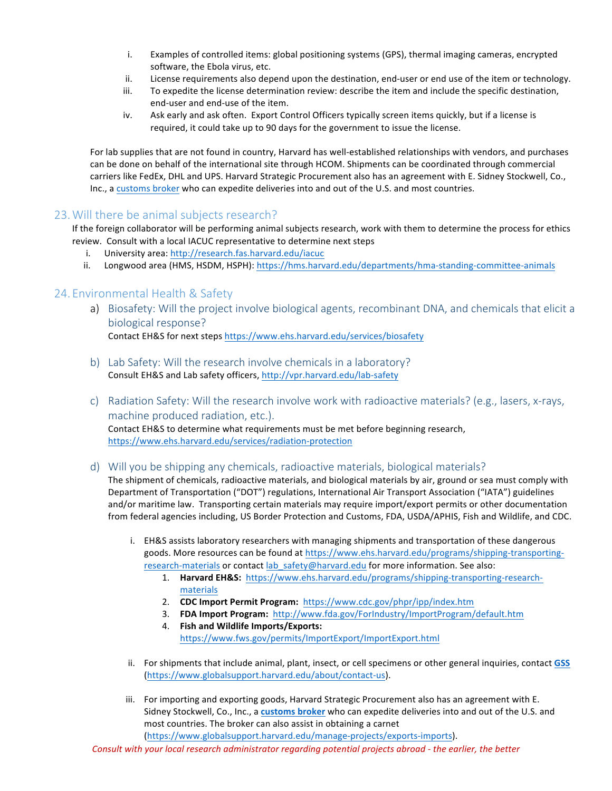- i. Examples of controlled items: global positioning systems (GPS), thermal imaging cameras, encrypted software, the Ebola virus, etc.
- ii. License requirements also depend upon the destination, end-user or end use of the item or technology.
- iii. To expedite the license determination review: describe the item and include the specific destination, end-user and end-use of the item.
- iv. Ask early and ask often. Export Control Officers typically screen items quickly, but if a license is required, it could take up to 90 days for the government to issue the license.

For lab supplies that are not found in country, Harvard has well-established relationships with vendors, and purchases can be done on behalf of the international site through HCOM. Shipments can be coordinated through commercial carriers like FedEx, DHL and UPS. Harvard Strategic Procurement also has an agreement with E. Sidney Stockwell, Co., Inc., a customs broker who can expedite deliveries into and out of the U.S. and most countries.

## 23.Will there be animal subjects research?

If the foreign collaborator will be performing animal subjects research, work with them to determine the process for ethics review. Consult with a local IACUC representative to determine next steps

- i. University area: http://research.fas.harvard.edu/iacuc
- ii. Longwood area (HMS, HSDM, HSPH): https://hms.harvard.edu/departments/hma-standing-committee-animals

## 24. Environmental Health & Safety

a) Biosafety: Will the project involve biological agents, recombinant DNA, and chemicals that elicit a biological response?

Contact EH&S for next steps https://www.ehs.harvard.edu/services/biosafety

- b) Lab Safety: Will the research involve chemicals in a laboratory? Consult EH&S and Lab safety officers, http://vpr.harvard.edu/lab-safety
- c) Radiation Safety: Will the research involve work with radioactive materials? (e.g., lasers, x-rays, machine produced radiation, etc.). Contact EH&S to determine what requirements must be met before beginning research, https://www.ehs.harvard.edu/services/radiation-protection
- d) Will you be shipping any chemicals, radioactive materials, biological materials?

The shipment of chemicals, radioactive materials, and biological materials by air, ground or sea must comply with Department of Transportation ("DOT") regulations, International Air Transport Association ("IATA") guidelines and/or maritime law. Transporting certain materials may require import/export permits or other documentation from federal agencies including, US Border Protection and Customs, FDA, USDA/APHIS, Fish and Wildlife, and CDC.

- i. EH&S assists laboratory researchers with managing shipments and transportation of these dangerous goods. More resources can be found at https://www.ehs.harvard.edu/programs/shipping-transportingresearch-materials or contact lab\_safety@harvard.edu for more information. See also:
	- 1. **Harvard EH&S:** https://www.ehs.harvard.edu/programs/shipping-transporting-researchmaterials
	- 2. **CDC Import Permit Program:** https://www.cdc.gov/phpr/ipp/index.htm
	- 3. **FDA Import Program:** http://www.fda.gov/ForIndustry/ImportProgram/default.htm
	- 4. **Fish and Wildlife Imports/Exports:** https://www.fws.gov/permits/ImportExport/ImportExport.html
- ii. For shipments that include animal, plant, insect, or cell specimens or other general inquiries, contact GSS (https://www.globalsupport.harvard.edu/about/contact-us).
- iii. For importing and exporting goods, Harvard Strategic Procurement also has an agreement with E. Sidney Stockwell, Co., Inc., a customs broker who can expedite deliveries into and out of the U.S. and most countries. The broker can also assist in obtaining a carnet (https://www.globalsupport.harvard.edu/manage-projects/exports-imports).